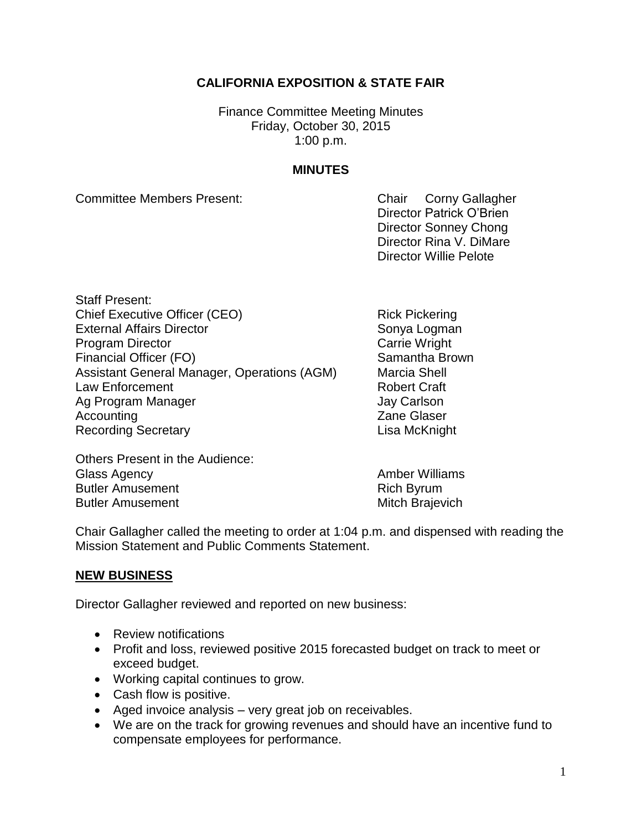# **CALIFORNIA EXPOSITION & STATE FAIR**

Finance Committee Meeting Minutes Friday, October 30, 2015 1:00 p.m.

# **MINUTES**

Committee Members Present: Committee Members Present:

Director Patrick O'Brien Director Sonney Chong Director Rina V. DiMare Director Willie Pelote

Staff Present: Chief Executive Officer (CEO) Rick Pickering External Affairs Director Sonya Logman Program Director **Carrie Wright** Carrie Wright Financial Officer (FO) Samantha Brown Assistant General Manager, Operations (AGM) Marcia Shell Law Enforcement **Robert Craft** Ag Program Manager **Jay Carlson** Accounting **Accounting 2** and 2 and 2 and 2 and 2 and 2 and 2 and 2 and 2 and 2 and 2 and 2 and 2 and 2 and 2 and 2 and 2 and 2 and 2 and 2 and 2 and 2 and 2 and 2 and 2 and 2 and 2 and 2 and 2 and 2 and 2 and 2 and 2 and Recording Secretary **Contact Contact Contact Contact Contact Contact Contact Contact Contact Contact Contact Contact Contact Contact Contact Contact Contact Contact Contact Contact Contact Contact Contact Contact Contact C** 

Others Present in the Audience: Glass Agency **Amber Williams** Butler Amusement **Rich Byrum** Butler Amusement **Mitch Brajevich** Mitch Brajevich

Chair Gallagher called the meeting to order at 1:04 p.m. and dispensed with reading the Mission Statement and Public Comments Statement.

# **NEW BUSINESS**

Director Gallagher reviewed and reported on new business:

- Review notifications
- Profit and loss, reviewed positive 2015 forecasted budget on track to meet or exceed budget.
- Working capital continues to grow.
- Cash flow is positive.
- Aged invoice analysis very great job on receivables.
- We are on the track for growing revenues and should have an incentive fund to compensate employees for performance.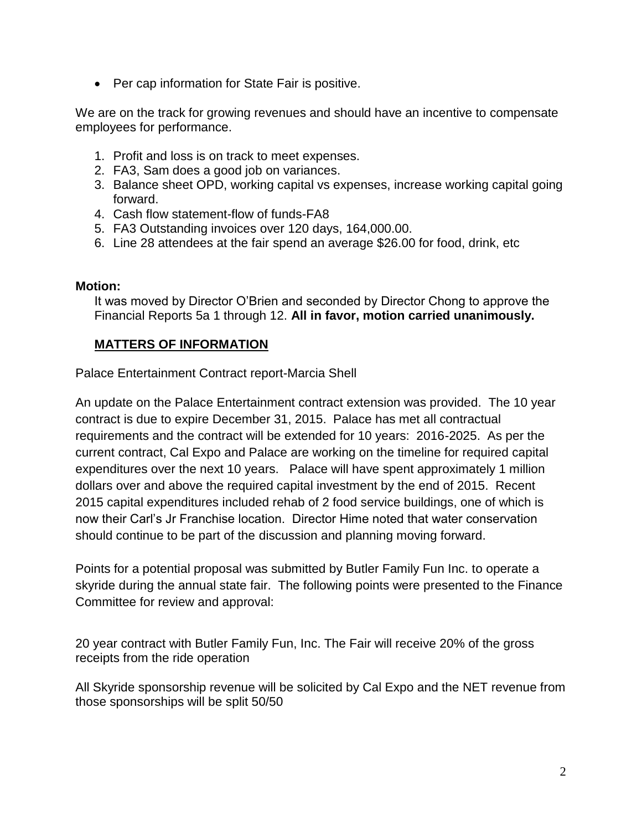• Per cap information for State Fair is positive.

We are on the track for growing revenues and should have an incentive to compensate employees for performance.

- 1. Profit and loss is on track to meet expenses.
- 2. FA3, Sam does a good job on variances.
- 3. Balance sheet OPD, working capital vs expenses, increase working capital going forward.
- 4. Cash flow statement-flow of funds-FA8
- 5. FA3 Outstanding invoices over 120 days, 164,000.00.
- 6. Line 28 attendees at the fair spend an average \$26.00 for food, drink, etc

### **Motion:**

It was moved by Director O'Brien and seconded by Director Chong to approve the Financial Reports 5a 1 through 12. **All in favor, motion carried unanimously.**

# **MATTERS OF INFORMATION**

Palace Entertainment Contract report-Marcia Shell

An update on the Palace Entertainment contract extension was provided. The 10 year contract is due to expire December 31, 2015. Palace has met all contractual requirements and the contract will be extended for 10 years: 2016-2025. As per the current contract, Cal Expo and Palace are working on the timeline for required capital expenditures over the next 10 years. Palace will have spent approximately 1 million dollars over and above the required capital investment by the end of 2015. Recent 2015 capital expenditures included rehab of 2 food service buildings, one of which is now their Carl's Jr Franchise location. Director Hime noted that water conservation should continue to be part of the discussion and planning moving forward.

Points for a potential proposal was submitted by Butler Family Fun Inc. to operate a skyride during the annual state fair. The following points were presented to the Finance Committee for review and approval:

20 year contract with Butler Family Fun, Inc. The Fair will receive 20% of the gross receipts from the ride operation

All Skyride sponsorship revenue will be solicited by Cal Expo and the NET revenue from those sponsorships will be split 50/50